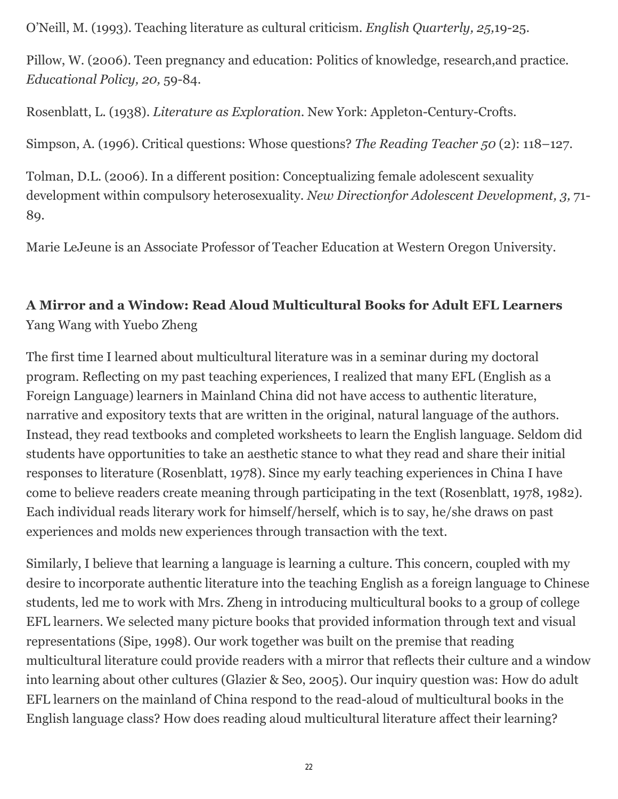O'Neill, M. (1993). Teaching literature as cultural criticism. *English Quarterly, 25,*19-25.

Pillow, W. (2006). Teen pregnancy and education: Politics of knowledge, research,and practice. *Educational Policy, 20,* 59-84.

Rosenblatt, L. (1938). *Literature as Exploration*. New York: Appleton-Century-Crofts.

Simpson, A. (1996). Critical questions: Whose questions? *The Reading Teacher 50* (2): 118–127.

Tolman, D.L. (2006). In a different position: Conceptualizing female adolescent sexuality development within compulsory heterosexuality. *New Directionfor Adolescent Development, 3,* 71- 89.

Marie LeJeune is an Associate Professor of Teacher Education at Western Oregon University.

## **A Mirror and a Window: Read Aloud Multicultural Books for Adult EFL Learners** Yang Wang with Yuebo Zheng

The first time I learned about multicultural literature was in a seminar during my doctoral program. Reflecting on my past teaching experiences, I realized that many EFL (English as a Foreign Language) learners in Mainland China did not have access to authentic literature, narrative and expository texts that are written in the original, natural language of the authors. Instead, they read textbooks and completed worksheets to learn the English language. Seldom did students have opportunities to take an aesthetic stance to what they read and share their initial responses to literature (Rosenblatt, 1978). Since my early teaching experiences in China I have come to believe readers create meaning through participating in the text (Rosenblatt, 1978, 1982). Each individual reads literary work for himself/herself, which is to say, he/she draws on past experiences and molds new experiences through transaction with the text.

Similarly, I believe that learning a language is learning a culture. This concern, coupled with my desire to incorporate authentic literature into the teaching English as a foreign language to Chinese students, led me to work with Mrs. Zheng in introducing multicultural books to a group of college EFL learners. We selected many picture books that provided information through text and visual representations (Sipe, 1998). Our work together was built on the premise that reading multicultural literature could provide readers with a mirror that reflects their culture and a window into learning about other cultures (Glazier & Seo, 2005). Our inquiry question was: How do adult EFL learners on the mainland of China respond to the read-aloud of multicultural books in the English language class? How does reading aloud multicultural literature affect their learning?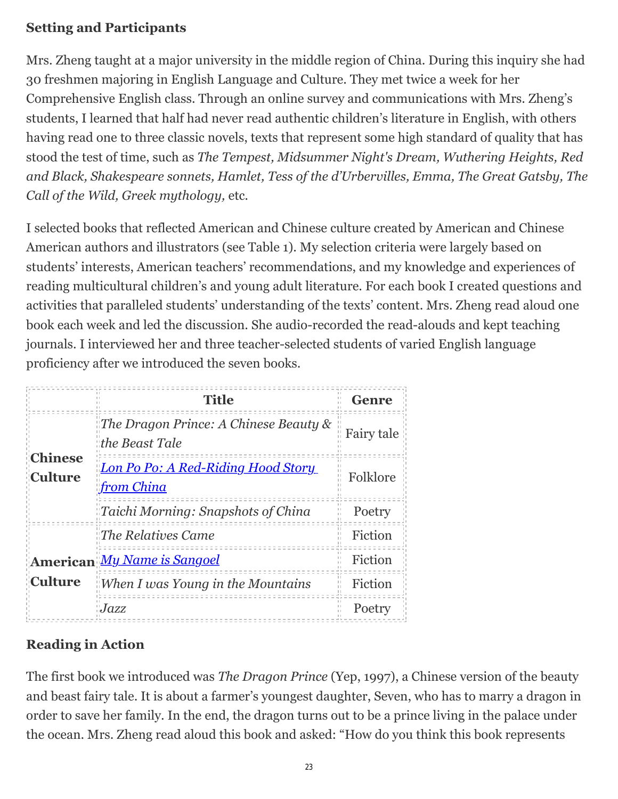#### **Setting and Participants**

Mrs. Zheng taught at a major university in the middle region of China. During this inquiry she had 30 freshmen majoring in English Language and Culture. They met twice a week for her Comprehensive English class. Through an online survey and communications with Mrs. Zheng's students, I learned that half had never read authentic children's literature in English, with others having read one to three classic novels, texts that represent some high standard of quality that has stood the test of time, such as *The Tempest, Midsummer Night's Dream, Wuthering Heights, Red and Black, Shakespeare sonnets, Hamlet, Tess of the d'Urbervilles, Emma, The Great Gatsby, The Call of the Wild, Greek mythology,* etc*.*

I selected books that reflected American and Chinese culture created by American and Chinese American authors and illustrators (see Table 1). My selection criteria were largely based on students' interests, American teachers' recommendations, and my knowledge and experiences of reading multicultural children's and young adult literature. For each book I created questions and activities that paralleled students' understanding of the texts' content. Mrs. Zheng read aloud one book each week and led the discussion. She audio-recorded the read-alouds and kept teaching journals. I interviewed her and three teacher-selected students of varied English language proficiency after we introduced the seven books.

|                                  | <b>Title</b>                                                         | <b>Genre</b><br>ш |
|----------------------------------|----------------------------------------------------------------------|-------------------|
| <b>Chinese</b><br><b>Culture</b> | $\mathbb{R}$ The Dragon Prince: A Chinese Beauty &<br>the Beast Tale | Fairy tale        |
|                                  | Lon Po Po: A Red-Riding Hood Story<br><u>from China</u>              | Folklore          |
|                                  | Taichi Morning: Snapshots of China                                   | Poetry            |
| <b>Culture</b>                   | The Relatives Came                                                   | Fiction<br>П      |
|                                  | American My Name is Sangoel                                          | Fiction           |
|                                  | $\mathbb I$ When I was Young in the Mountains                        | Fiction           |
|                                  | Jazz                                                                 | Poetry            |

# **Reading in Action**

The first book we introduced was *The Dragon Prince* (Yep, 1997), a Chinese version of the beauty and beast fairy tale. It is about a farmer's youngest daughter, Seven, who has to marry a dragon in order to save her family. In the end, the dragon turns out to be a prince living in the palace under the ocean. Mrs. Zheng read aloud this book and asked: "How do you think this book represents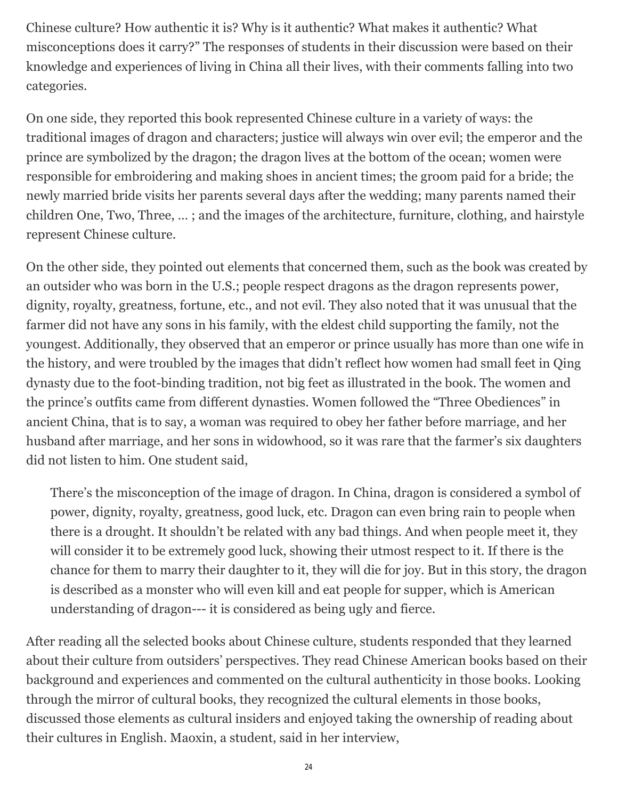Chinese culture? How authentic it is? Why is it authentic? What makes it authentic? What misconceptions does it carry?" The responses of students in their discussion were based on their knowledge and experiences of living in China all their lives, with their comments falling into two categories.

On one side, they reported this book represented Chinese culture in a variety of ways: the traditional images of dragon and characters; justice will always win over evil; the emperor and the prince are symbolized by the dragon; the dragon lives at the bottom of the ocean; women were responsible for embroidering and making shoes in ancient times; the groom paid for a bride; the newly married bride visits her parents several days after the wedding; many parents named their children One, Two, Three, … ; and the images of the architecture, furniture, clothing, and hairstyle represent Chinese culture.

On the other side, they pointed out elements that concerned them, such as the book was created by an outsider who was born in the U.S.; people respect dragons as the dragon represents power, dignity, royalty, greatness, fortune, etc., and not evil. They also noted that it was unusual that the farmer did not have any sons in his family, with the eldest child supporting the family, not the youngest. Additionally, they observed that an emperor or prince usually has more than one wife in the history, and were troubled by the images that didn't reflect how women had small feet in Qing dynasty due to the foot-binding tradition, not big feet as illustrated in the book. The women and the prince's outfits came from different dynasties. Women followed the "Three Obediences" in ancient China, that is to say, a woman was required to obey her father before marriage, and her husband after marriage, and her sons in widowhood, so it was rare that the farmer's six daughters did not listen to him. One student said,

There's the misconception of the image of dragon. In China, dragon is considered a symbol of power, dignity, royalty, greatness, good luck, etc. Dragon can even bring rain to people when there is a drought. It shouldn't be related with any bad things. And when people meet it, they will consider it to be extremely good luck, showing their utmost respect to it. If there is the chance for them to marry their daughter to it, they will die for joy. But in this story, the dragon is described as a monster who will even kill and eat people for supper, which is American understanding of dragon--- it is considered as being ugly and fierce.

After reading all the selected books about Chinese culture, students responded that they learned about their culture from outsiders' perspectives. They read Chinese American books based on their background and experiences and commented on the cultural authenticity in those books. Looking through the mirror of cultural books, they recognized the cultural elements in those books, discussed those elements as cultural insiders and enjoyed taking the ownership of reading about their cultures in English. Maoxin, a student, said in her interview,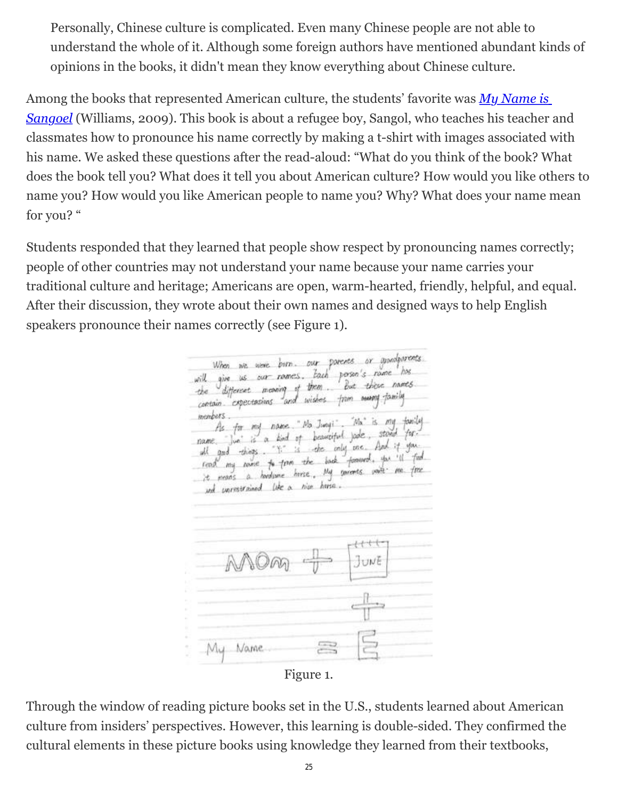Personally, Chinese culture is complicated. Even many Chinese people are not able to understand the whole of it. Although some foreign authors have mentioned abundant kinds of opinions in the books, it didn't mean they know everything about Chinese culture.

Among the books that represented American culture, the students' favorite was *My Name is Sangoel* [\(Williams, 2009\). This book is about a refugee boy, Sangol, who teaches his teacher a](http://wowlit.org/catalog/9780802853073/)nd classmates how to pronounce his name correctly by making a t-shirt with images associated with his name. We asked these questions after the read-aloud: "What do you think of the book? What does the book tell you? What does it tell you about American culture? How would you like others to name you? How would you like American people to name you? Why? What does your name mean for you? "

Students responded that they learned that people show respect by pronouncing names correctly; people of other countries may not understand your name because your name carries your traditional culture and heritage; Americans are open, warm-hearted, friendly, helpful, and equal. After their discussion, they wrote about their own names and designed ways to help English speakers pronounce their names correctly (see Figure 1).

When we were born. our parents or appropriate. will give us our romes. Each person's rome has the different meaning of them. But these names contain expectations and wishes from more family members. bers.<br>As for my name. "Ma Junyi", "Ma" is my family.<br>As for my name. "Ma Junyi Live stood far." ris for my name. The leaveleting jade, stand for. name , jun is a find of permission fore. And if you. abl good thogs. It is back forward, you ill find reas my name to firm the . My sucerts part me fire und unrestrained like a nice huse. My Name

Figure 1.

Through the window of reading picture books set in the U.S., students learned about American culture from insiders' perspectives. However, this learning is double-sided. They confirmed the cultural elements in these picture books using knowledge they learned from their textbooks,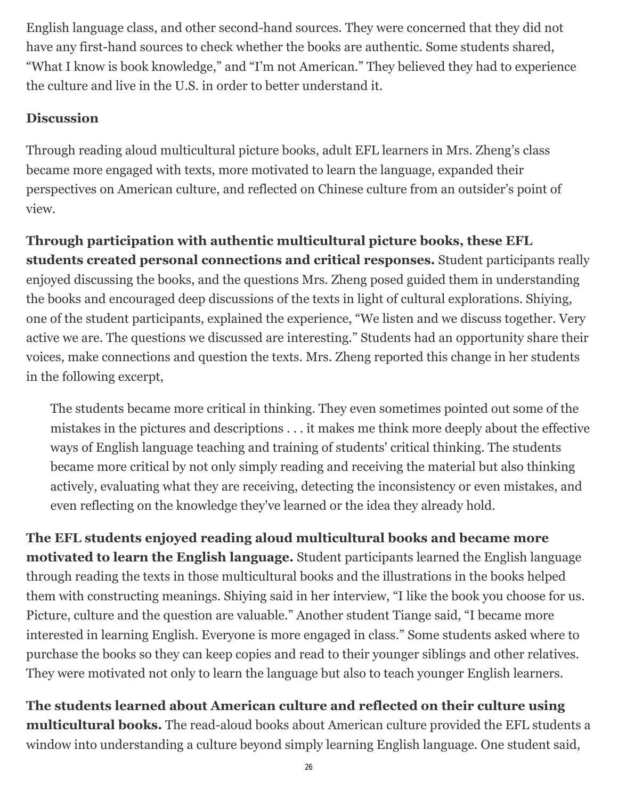English language class, and other second-hand sources. They were concerned that they did not have any first-hand sources to check whether the books are authentic. Some students shared, "What I know is book knowledge," and "I'm not American." They believed they had to experience the culture and live in the U.S. in order to better understand it.

### **Discussion**

Through reading aloud multicultural picture books, adult EFL learners in Mrs. Zheng's class became more engaged with texts, more motivated to learn the language, expanded their perspectives on American culture, and reflected on Chinese culture from an outsider's point of view.

**Through participation with authentic multicultural picture books, these EFL students created personal connections and critical responses.** Student participants really enjoyed discussing the books, and the questions Mrs. Zheng posed guided them in understanding the books and encouraged deep discussions of the texts in light of cultural explorations. Shiying, one of the student participants, explained the experience, "We listen and we discuss together. Very active we are. The questions we discussed are interesting." Students had an opportunity share their voices, make connections and question the texts. Mrs. Zheng reported this change in her students in the following excerpt,

The students became more critical in thinking. They even sometimes pointed out some of the mistakes in the pictures and descriptions . . . it makes me think more deeply about the effective ways of English language teaching and training of students' critical thinking. The students became more critical by not only simply reading and receiving the material but also thinking actively, evaluating what they are receiving, detecting the inconsistency or even mistakes, and even reflecting on the knowledge they've learned or the idea they already hold.

**The EFL students enjoyed reading aloud multicultural books and became more motivated to learn the English language.** Student participants learned the English language through reading the texts in those multicultural books and the illustrations in the books helped them with constructing meanings. Shiying said in her interview, "I like the book you choose for us. Picture, culture and the question are valuable." Another student Tiange said, "I became more interested in learning English. Everyone is more engaged in class." Some students asked where to purchase the books so they can keep copies and read to their younger siblings and other relatives. They were motivated not only to learn the language but also to teach younger English learners.

**The students learned about American culture and reflected on their culture using multicultural books.** The read-aloud books about American culture provided the EFL students a window into understanding a culture beyond simply learning English language. One student said,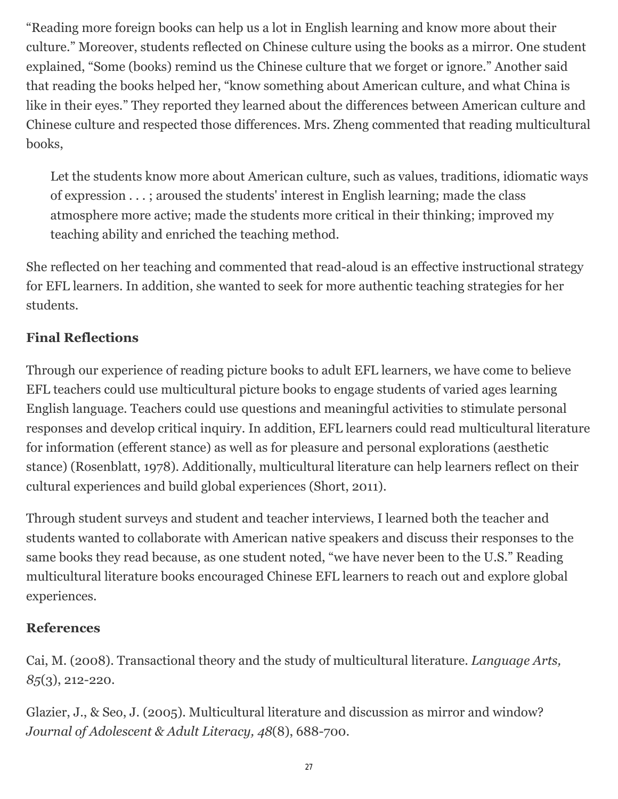"Reading more foreign books can help us a lot in English learning and know more about their culture." Moreover, students reflected on Chinese culture using the books as a mirror. One student explained, "Some (books) remind us the Chinese culture that we forget or ignore." Another said that reading the books helped her, "know something about American culture, and what China is like in their eyes." They reported they learned about the differences between American culture and Chinese culture and respected those differences. Mrs. Zheng commented that reading multicultural books,

Let the students know more about American culture, such as values, traditions, idiomatic ways of expression . . . ; aroused the students' interest in English learning; made the class atmosphere more active; made the students more critical in their thinking; improved my teaching ability and enriched the teaching method.

She reflected on her teaching and commented that read-aloud is an effective instructional strategy for EFL learners. In addition, she wanted to seek for more authentic teaching strategies for her students.

## **Final Reflections**

Through our experience of reading picture books to adult EFL learners, we have come to believe EFL teachers could use multicultural picture books to engage students of varied ages learning English language. Teachers could use questions and meaningful activities to stimulate personal responses and develop critical inquiry. In addition, EFL learners could read multicultural literature for information (efferent stance) as well as for pleasure and personal explorations (aesthetic stance) (Rosenblatt, 1978). Additionally, multicultural literature can help learners reflect on their cultural experiences and build global experiences (Short, 2011).

Through student surveys and student and teacher interviews, I learned both the teacher and students wanted to collaborate with American native speakers and discuss their responses to the same books they read because, as one student noted, "we have never been to the U.S." Reading multicultural literature books encouraged Chinese EFL learners to reach out and explore global experiences.

#### **References**

Cai, M. (2008). Transactional theory and the study of multicultural literature. *Language Arts, 85*(3), 212-220.

Glazier, J., & Seo, J. (2005). Multicultural literature and discussion as mirror and window? *Journal of Adolescent & Adult Literacy, 48*(8), 688-700.